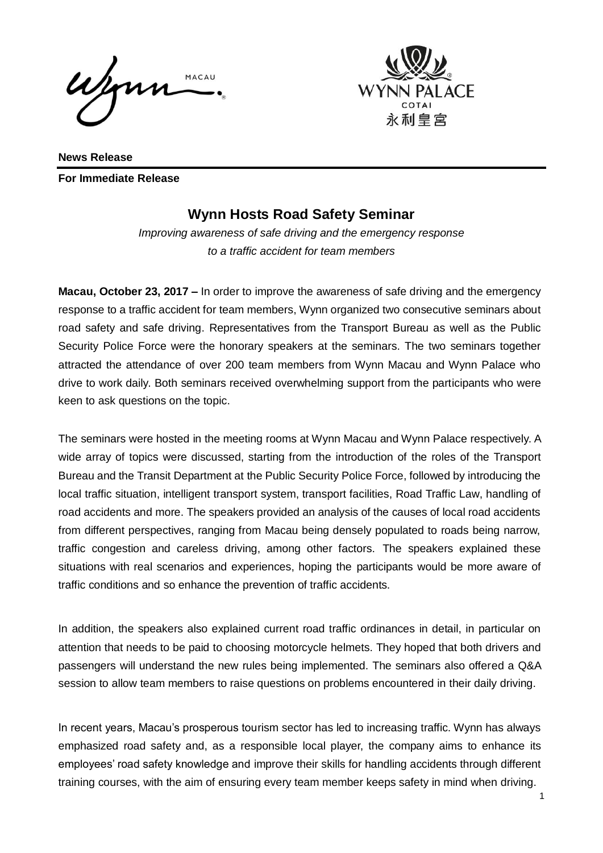Wenn MACAU



**News Release For Immediate Release** 

## **Wynn Hosts Road Safety Seminar**

*Improving awareness of safe driving and the emergency response to a traffic accident for team members*

**Macau, October 23, 2017 –** In order to improve the awareness of safe driving and the emergency response to a traffic accident for team members, Wynn organized two consecutive seminars about road safety and safe driving. Representatives from the Transport Bureau as well as the Public Security Police Force were the honorary speakers at the seminars. The two seminars together attracted the attendance of over 200 team members from Wynn Macau and Wynn Palace who drive to work daily. Both seminars received overwhelming support from the participants who were keen to ask questions on the topic.

The seminars were hosted in the meeting rooms at Wynn Macau and Wynn Palace respectively. A wide array of topics were discussed, starting from the introduction of the roles of the Transport Bureau and the Transit Department at the Public Security Police Force, followed by introducing the local traffic situation, intelligent transport system, transport facilities, Road Traffic Law, handling of road accidents and more. The speakers provided an analysis of the causes of local road accidents from different perspectives, ranging from Macau being densely populated to roads being narrow, traffic congestion and careless driving, among other factors. The speakers explained these situations with real scenarios and experiences, hoping the participants would be more aware of traffic conditions and so enhance the prevention of traffic accidents.

In addition, the speakers also explained current road traffic ordinances in detail, in particular on attention that needs to be paid to choosing motorcycle helmets. They hoped that both drivers and passengers will understand the new rules being implemented. The seminars also offered a Q&A session to allow team members to raise questions on problems encountered in their daily driving.

In recent years, Macau's prosperous tourism sector has led to increasing traffic. Wynn has always emphasized road safety and, as a responsible local player, the company aims to enhance its employees' road safety knowledge and improve their skills for handling accidents through different training courses, with the aim of ensuring every team member keeps safety in mind when driving.